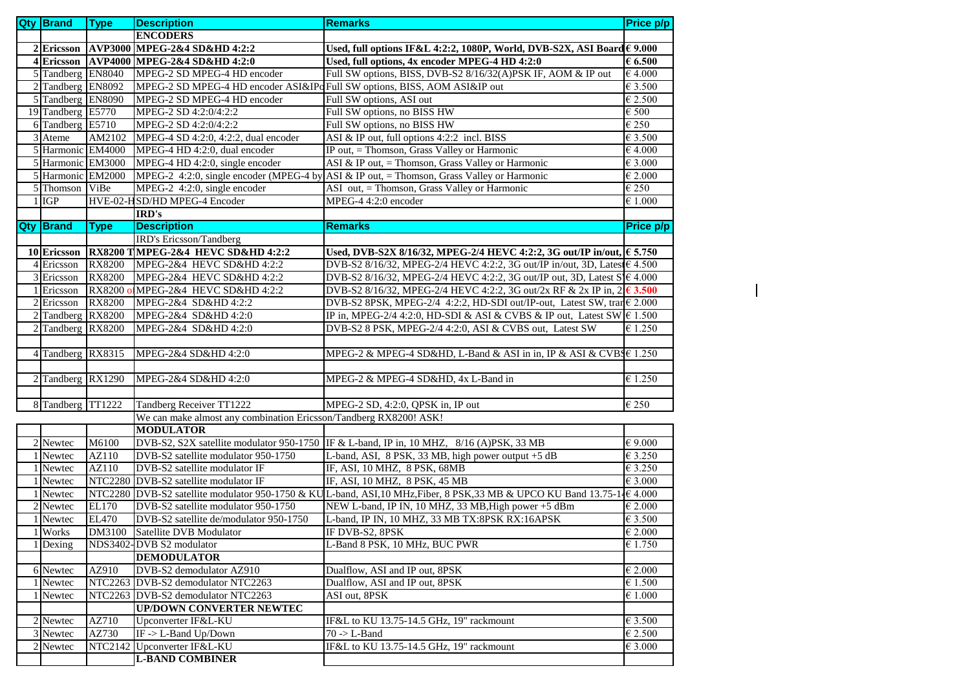| <b>Qty Brand</b>                       | <b>Type</b>   | <b>Description</b>                                                        | <b>Remarks</b>                                                                                                       | Price p/p                   |
|----------------------------------------|---------------|---------------------------------------------------------------------------|----------------------------------------------------------------------------------------------------------------------|-----------------------------|
|                                        |               | <b>ENCODERS</b>                                                           |                                                                                                                      |                             |
| 2 Ericsson                             |               | AVP3000 MPEG-2&4 SD&HD 4:2:2                                              | Used, full options IF&L 4:2:2, 1080P, World, DVB-S2X, ASI Board€ 9.000                                               |                             |
| 4 Ericsson                             |               | AVP4000 MPEG-2&4 SD&HD 4:2:0                                              | Used, full options, 4x encoder MPEG-4 HD 4:2:0                                                                       | 66.500                      |
| 5 Tandberg EN8040                      |               | MPEG-2 SD MPEG-4 HD encoder                                               | Full SW options, BISS, DVB-S2 8/16/32(A)PSK IF, AOM & IP out                                                         | $\epsilon$ 4.000            |
| 2 Tandberg EN8092                      |               | MPEG-2 SD MPEG-4 HD encoder ASI&IPo Full SW options, BISS, AOM ASI&IP out |                                                                                                                      | $\epsilon$ 3.500            |
| 5 Tandberg EN8090                      |               | MPEG-2 SD MPEG-4 HD encoder                                               | Full SW options, ASI out                                                                                             | € 2.500                     |
| 19 Tandberg E5770                      |               | MPEG-2 SD 4:2:0/4:2:2                                                     | Full SW options, no BISS HW                                                                                          | $\epsilon$ 500              |
| 6 Tandberg E5710                       |               | MPEG-2 SD 4:2:0/4:2:2                                                     | Full SW options, no BISS HW                                                                                          | €250                        |
| 3 Ateme                                | AM2102        | MPEG-4 SD 4:2:0, 4:2:2, dual encoder                                      | ASI & IP out, full options 4:2:2 incl. BISS                                                                          | € 3.500                     |
| 5 Harmonic EM4000                      |               | MPEG-4 HD 4:2:0, dual encoder                                             | IP out, = Thomson, Grass Valley or Harmonic                                                                          | €4.000                      |
| 5 Harmonic EM3000                      |               | MPEG-4 HD 4:2:0, single encoder                                           | ASI & IP out, = Thomson, Grass Valley or Harmonic                                                                    | $\overline{\epsilon}$ 3.000 |
| 5 Harmonic EM2000                      |               |                                                                           | MPEG-2 4:2:0, single encoder (MPEG-4 by ASI & IP out, $=$ Thomson, Grass Valley or Harmonic                          | €2.000                      |
| 5 Thomson                              | ViBe          | MPEG-2 4:2:0, single encoder                                              | ASI out, = Thomson, Grass Valley or Harmonic                                                                         | €250                        |
| $1$ IGP                                |               | HVE-02-HSD/HD MPEG-4 Encoder                                              | MPEG-4 4:2:0 encoder                                                                                                 | $\epsilon$ 1.000            |
|                                        |               | IRD's                                                                     |                                                                                                                      |                             |
| <b>Qty Brand</b>                       | <b>Type</b>   | <b>Description</b>                                                        | <b>Remarks</b>                                                                                                       | Price p/p                   |
|                                        |               | IRD's Ericsson/Tandberg                                                   |                                                                                                                      |                             |
| 10 Ericsson                            |               | RX8200 TMPEG-2&4 HEVC SD&HD 4:2:2                                         | Used, DVB-S2X 8/16/32, MPEG-2/4 HEVC 4:2:2, 3G out/IP in/out, € 5.750                                                |                             |
| 4 Ericsson                             | <b>RX8200</b> | MPEG-2&4 HEVC SD&HD 4:2:2                                                 | DVB-S2 8/16/32, MPEG-2/4 HEVC 4:2:2, 3G out/IP in/out, 3D, Lates € 4.500                                             |                             |
| 3 Ericsson                             | <b>RX8200</b> | MPEG-2&4 HEVC SD&HD 4:2:2                                                 | DVB-S2 8/16/32, MPEG-2/4 HEVC 4:2:2, 3G out/IP out, 3D, Latest $S \in 4.000$                                         |                             |
| 1 Ericsson                             | <b>RX8200</b> | MPEG-2&4 HEVC SD&HD 4:2:2                                                 | DVB-S2 8/16/32, MPEG-2/4 HEVC 4:2:2, 3G out/2x RF & 2x IP in, $2\sqrt{6}$ 3.500                                      |                             |
| $2$ Ericsson                           | <b>RX8200</b> | MPEG-2&4 SD&HD 4:2:2                                                      | DVB-S2 8PSK, MPEG-2/4 4:2:2, HD-SDI out/IP-out, Latest SW, tran€ 2.000                                               |                             |
| 2 Tandberg RX8200                      |               | MPEG-2&4 SD&HD 4:2:0                                                      | IP in, MPEG-2/4 4:2:0, HD-SDI & ASI & CVBS & IP out, Latest SW $\in$ 1.500                                           |                             |
| 2 Tandberg RX8200                      |               | MPEG-2&4 SD&HD 4:2:0                                                      | DVB-S2 8 PSK, MPEG-2/4 4:2:0, ASI & CVBS out, Latest SW                                                              | $\epsilon$ 1.250            |
| 4 Tandberg RX8315<br>2 Tandberg RX1290 |               | MPEG-2&4 SD&HD 4:2:0<br>MPEG-2&4 SD&HD 4:2:0                              | MPEG-2 & MPEG-4 SD&HD, L-Band & ASI in in, IP & ASI & CVBS € 1.250<br>MPEG-2 & MPEG-4 SD&HD, 4x L-Band in            | € 1.250                     |
|                                        |               |                                                                           |                                                                                                                      |                             |
| 8 Tandberg TT1222                      |               | Tandberg Receiver TT1222                                                  | MPEG-2 SD, 4:2:0, QPSK in, IP out                                                                                    | $\overline{\epsilon}$ 250   |
|                                        |               | We can make almost any combination Ericsson/Tandberg RX8200! ASK!         |                                                                                                                      |                             |
|                                        |               | <b>MODULATOR</b>                                                          |                                                                                                                      |                             |
| 2 Newtec                               | M6100         |                                                                           | DVB-S2, S2X satellite modulator 950-1750 IF & L-band, IP in, 10 MHZ, 8/16 (A)PSK, 33 MB                              | € 9.000                     |
| 1 Newtec                               | AZ110         | DVB-S2 satellite modulator 950-1750                                       | L-band, ASI, 8 PSK, 33 MB, high power output +5 dB                                                                   | € 3.250                     |
| 1 Newtec                               | AZ110         | DVB-S2 satellite modulator IF                                             | IF, ASI, 10 MHZ, 8 PSK, 68MB                                                                                         | €3.250                      |
| 1 Newtec                               |               | NTC2280 DVB-S2 satellite modulator IF                                     | IF, ASI, 10 MHZ, 8 PSK, 45 MB                                                                                        | € 3.000                     |
| 1 Newtec                               |               |                                                                           | NTC2280 DVB-S2 satellite modulator 950-1750 & KUL-band, ASI,10 MHz,Fiber, 8 PSK,33 MB & UPCO KU Band 13.75-1√€ 4.000 |                             |
| 2 Newtec                               | <b>EL170</b>  | DVB-S2 satellite modulator 950-1750                                       | NEW L-band, IP IN, 10 MHZ, 33 MB, High power +5 dBm                                                                  | $\epsilon$ 2.000            |
| 1 Newtec                               | <b>EL470</b>  | DVB-S2 satellite de/modulator 950-1750                                    | L-band, IP IN, 10 MHZ, 33 MB TX:8PSK RX:16APSK                                                                       | € 3.500                     |
| 1 Works                                |               | DM3100 Satellite DVB Modulator                                            | IF DVB-S2, 8PSK                                                                                                      | $\epsilon$ 2.000            |
| 1 Dexing                               |               | NDS3402-DVB S2 modulator                                                  | L-Band 8 PSK, 10 MHz, BUC PWR                                                                                        | € 1.750                     |
|                                        |               | <b>DEMODULATOR</b>                                                        |                                                                                                                      |                             |
| 6 Newtec                               | AZ910         | DVB-S2 demodulator AZ910                                                  | Dualflow, ASI and IP out, 8PSK                                                                                       | $\epsilon$ 2.000            |
| 1 Newtec                               |               | NTC2263 DVB-S2 demodulator NTC2263                                        | Dualflow, ASI and IP out, 8PSK                                                                                       | €1.500                      |
| 1 Newtec                               |               | NTC2263 DVB-S2 demodulator NTC2263                                        | ASI out, 8PSK                                                                                                        | $\epsilon$ 1.000            |
|                                        |               | <b>UP/DOWN CONVERTER NEWTEC</b>                                           |                                                                                                                      |                             |
| $\overline{2}$ Newtec                  | AZ710         | Upconverter IF&L-KU                                                       | IF&L to KU 13.75-14.5 GHz, 19" rackmount                                                                             | € 3.500                     |
| 3 Newtec                               | AZ730         | IF -> L-Band Up/Down                                                      | $70 \rightarrow L$ -Band                                                                                             | €2.500                      |
| $2$ Newtec                             |               | NTC2142 Upconverter IF&L-KU                                               | IF&L to KU 13.75-14.5 GHz, 19" rackmount                                                                             | $\epsilon$ 3.000            |
|                                        |               | <b>L-BAND COMBINER</b>                                                    |                                                                                                                      |                             |

 $\overline{\phantom{a}}$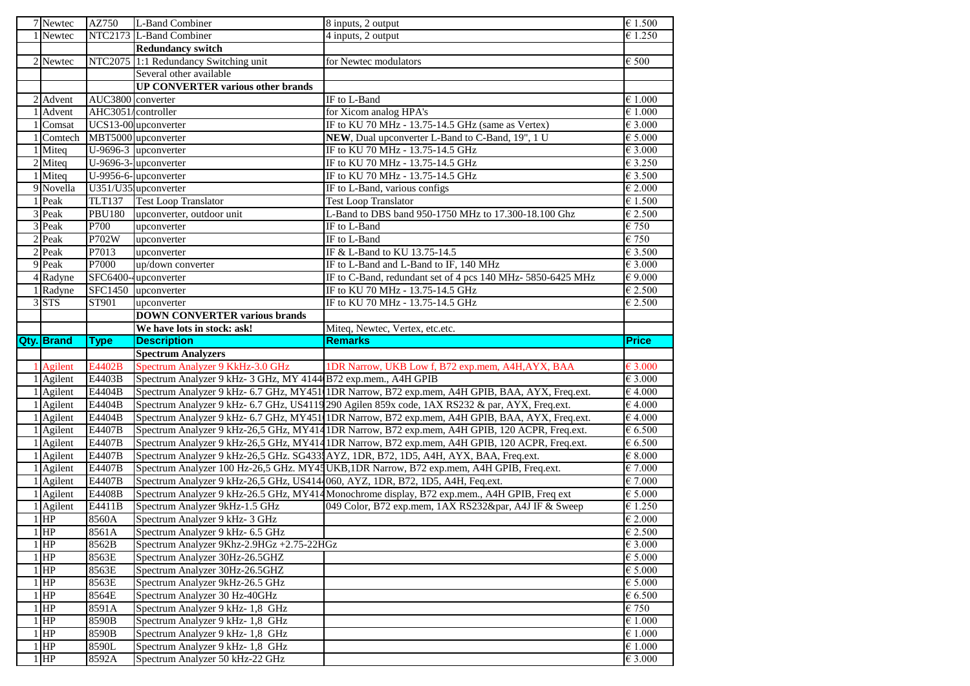| 7 Newtec               | AZ750              | L-Band Combiner                                                                | 8 inputs, 2 output                                                                             | $\epsilon$ 1.500                     |
|------------------------|--------------------|--------------------------------------------------------------------------------|------------------------------------------------------------------------------------------------|--------------------------------------|
| 1 Newtec               |                    | NTC2173 L-Band Combiner                                                        | 4 inputs, 2 output                                                                             | $\overline{\epsilon}$ 1.250          |
|                        |                    | <b>Redundancy switch</b>                                                       |                                                                                                |                                      |
| 2 Newtec               |                    | NTC2075 1:1 Redundancy Switching unit                                          | for Newtec modulators                                                                          | € 500                                |
|                        |                    | Several other available                                                        |                                                                                                |                                      |
|                        |                    | <b>UP CONVERTER various other brands</b>                                       |                                                                                                |                                      |
| 2 Advent               | AUC3800 converter  |                                                                                | IF to L-Band                                                                                   | €1.000                               |
| 1 Advent               | AHC3051/controller |                                                                                | for Xicom analog HPA's                                                                         | $\in 1.000$                          |
| 1 Comsat               |                    | UCS13-00 upconverter                                                           | IF to KU 70 MHz - 13.75-14.5 GHz (same as Vertex)                                              | € 3.000                              |
|                        |                    | 1 Comtech MBT5000 upconverter                                                  | NEW, Dual upconverter L-Band to C-Band, 19", 1 U                                               | $\epsilon$ 5.000                     |
| 1 Miteq                |                    | U-9696-3 upconverter                                                           | IF to KU 70 MHz - 13.75-14.5 GHz                                                               | €3.000                               |
| 2 Miteg                |                    | U-9696-3-upconverter                                                           | IF to KU 70 MHz - 13.75-14.5 GHz                                                               | €3.250                               |
| 1 Miteq                |                    | U-9956-6-upconverter                                                           | IF to KU 70 MHz - 13.75-14.5 GHz                                                               | €3.500                               |
| 9 Novella              |                    | U351/U35 upconverter                                                           | IF to L-Band, various configs                                                                  | €2.000                               |
| 1 Peak                 | <b>TLT137</b>      | <b>Test Loop Translator</b>                                                    | <b>Test Loop Translator</b>                                                                    | € 1.500                              |
| $\overline{3}$ Peak    | <b>PBU180</b>      | upconverter, outdoor unit                                                      | L-Band to DBS band 950-1750 MHz to 17.300-18.100 Ghz                                           | €2.500                               |
| 3 Peak                 | P700               | upconverter                                                                    | $\overline{\text{IF}}$ to L-Band                                                               | $\overline{\epsilon}$ 750            |
| 2 Peak                 | P702W              | upconverter                                                                    | IF to L-Band                                                                                   | €750                                 |
| $\overline{2}$ Peak    | P7013              | upconverter                                                                    | IF & L-Band to KU 13.75-14.5                                                                   | €3.500                               |
| 9 Peak                 | P7000              | up/down converter                                                              | IF to L-Band and L-Band to IF, 140 MHz                                                         | € 3.000                              |
| 4 Radyne               |                    | SFC6400-4upconverter                                                           | IF to C-Band, redundant set of 4 pcs 140 MHz- 5850-6425 MHz                                    | $\in$ 9.000                          |
| 1 Radyne               | <b>SFC1450</b>     | upconverter                                                                    | IF to KU 70 MHz - 13.75-14.5 GHz                                                               | €2.500                               |
| 3 STS                  | ST901              | upconverter                                                                    | IF to KU 70 MHz - 13.75-14.5 GHz                                                               | €2.500                               |
|                        |                    | <b>DOWN CONVERTER various brands</b>                                           |                                                                                                |                                      |
|                        |                    |                                                                                |                                                                                                |                                      |
|                        |                    |                                                                                |                                                                                                |                                      |
|                        |                    | We have lots in stock: ask!                                                    | Miteq, Newtec, Vertex, etc.etc.                                                                | <b>Price</b>                         |
| Qty. Brand             | <b>Type</b>        | <b>Description</b>                                                             | <b>Remarks</b>                                                                                 |                                      |
|                        |                    | <b>Spectrum Analyzers</b>                                                      |                                                                                                | € 3.000                              |
| 1 Agilent              | E4402B             | Spectrum Analyzer 9 KkHz-3.0 GHz                                               | 1DR Narrow, UKB Low f, B72 exp.mem, A4H, AYX, BAA                                              | €3.000                               |
| 1 Agilent              | E4403B<br>E4404B   | Spectrum Analyzer 9 kHz- 3 GHz, MY 4144 B72 exp.mem., A4H GPIB                 |                                                                                                | €4.000                               |
| 1 Agilent              |                    |                                                                                | Spectrum Analyzer 9 kHz- 6.7 GHz, MY451 IDR Narrow, B72 exp.mem, A4H GPIB, BAA, AYX, Freq.ext. | €4.000                               |
| 1 Agilent              | E4404B             |                                                                                | Spectrum Analyzer 9 kHz- 6.7 GHz, US4119 290 Agilen 859x code, 1AX RS232 & par, AYX, Freq.ext. |                                      |
| 1 Agilent              | E4404B<br>E4407B   |                                                                                | Spectrum Analyzer 9 kHz- 6.7 GHz, MY451 IDR Narrow, B72 exp.mem, A4H GPIB, BAA, AYX, Freq.ext. | $\in$ 4.000<br>$\epsilon$ 6.500      |
| 1 Agilent              |                    |                                                                                | Spectrum Analyzer 9 kHz-26,5 GHz, MY414 1DR Narrow, B72 exp.mem, A4H GPIB, 120 ACPR, Freq.ext. |                                      |
| 1 Agilent              | E4407B             |                                                                                | Spectrum Analyzer 9 kHz-26,5 GHz, MY414 IDR Narrow, B72 exp.mem, A4H GPIB, 120 ACPR, Freq.ext. | $\epsilon$ 6.500                     |
| 1 Agilent              | E4407B<br>E4407B   |                                                                                | Spectrum Analyzer 9 kHz-26,5 GHz. SG433 AYZ, 1DR, B72, 1D5, A4H, AYX, BAA, Freq.ext.           | $\in$ 8.000<br>€7.000                |
| 1 Agilent              | E4407B             | Spectrum Analyzer 9 kHz-26,5 GHz, US4144060, AYZ, 1DR, B72, 1D5, A4H, Feq.ext. | Spectrum Analyzer 100 Hz-26,5 GHz. MY43UKB, 1DR Narrow, B72 exp.mem, A4H GPIB, Freq.ext.       | €7.000                               |
| 1 Agilent<br>1 Agilent | E4408B             |                                                                                |                                                                                                | $\epsilon$ 5.000                     |
|                        |                    |                                                                                | Spectrum Analyzer 9 kHz-26.5 GHz, MY414 Monochrome display, B72 exp.mem., A4H GPIB, Freq ext   |                                      |
| $\overline{1}$ Agilent | E4411B<br>8560A    | Spectrum Analyzer 9kHz-1.5 GHz<br>Spectrum Analyzer 9 kHz-3 GHz                | 049 Color, B72 exp.mem, 1AX RS232∥, A4J IF & Sweep                                             | €1.250<br>€ 2.000                    |
| $1$ HP<br>$1$ HP       |                    |                                                                                |                                                                                                |                                      |
|                        | 8561A<br>8562B     | Spectrum Analyzer 9 kHz- 6.5 GHz                                               |                                                                                                | € 2.500                              |
| $1$ HP                 |                    | Spectrum Analyzer 9Khz-2.9HGz +2.75-22HGz                                      |                                                                                                | $\epsilon$ 3.000                     |
| $1$ HP                 | 8563E              | Spectrum Analyzer 30Hz-26.5GHZ                                                 |                                                                                                | $\epsilon$ 5.000                     |
| $1$ HP                 | 8563E              | Spectrum Analyzer 30Hz-26.5GHZ<br>Spectrum Analyzer 9kHz-26.5 GHz              |                                                                                                | $\epsilon$ 5.000<br>$\epsilon$ 5.000 |
| $1$ HP                 | 8563E              |                                                                                |                                                                                                |                                      |
| $1$ HP                 | 8564E              | Spectrum Analyzer 30 Hz-40GHz                                                  |                                                                                                | $\epsilon$ 6.500                     |
| $1$ HP                 | 8591A              | Spectrum Analyzer 9 kHz- 1,8 GHz                                               |                                                                                                | €750                                 |
| $1$ HP                 | 8590B              | Spectrum Analyzer 9 kHz- 1,8 GHz                                               |                                                                                                | $\in 1.000$                          |
| $1$ HP<br>$1$ HP       | 8590B<br>8590L     | Spectrum Analyzer 9 kHz- 1,8 GHz<br>Spectrum Analyzer 9 kHz- 1,8 GHz           |                                                                                                | $\epsilon$ 1.000<br>$\epsilon$ 1.000 |